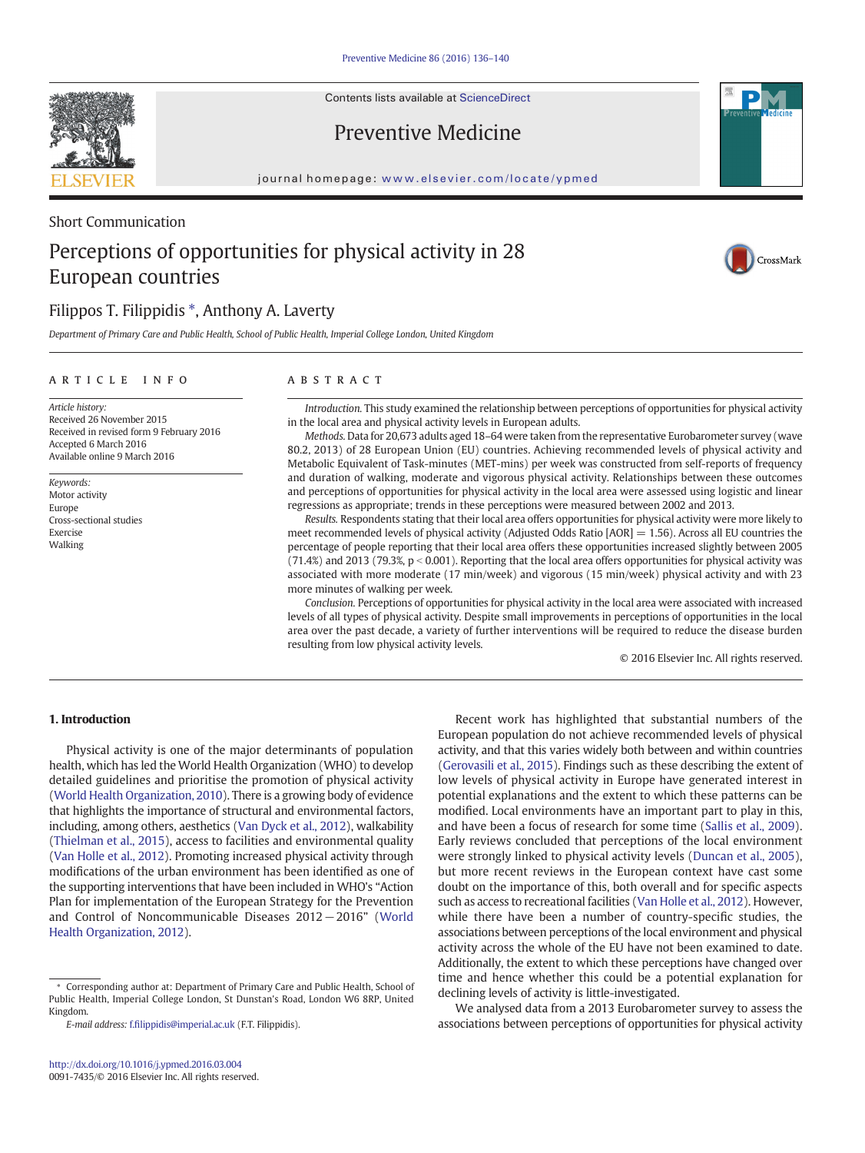Contents lists available at [ScienceDirect](http://www.sciencedirect.com/science/journal/00917435)

# Preventive Medicine

journal homepage: <www.elsevier.com/locate/ypmed>

# Short Communication Perceptions of opportunities for physical activity in 28 European countries

## Filippos T. Filippidis \*, Anthony A. Laverty

Department of Primary Care and Public Health, School of Public Health, Imperial College London, United Kingdom

#### article info abstract

Article history: Received 26 November 2015 Received in revised form 9 February 2016 Accepted 6 March 2016 Available online 9 March 2016

Keywords: Motor activity Europe Cross-sectional studies Exercise Walking

Introduction. This study examined the relationship between perceptions of opportunities for physical activity in the local area and physical activity levels in European adults.

Methods. Data for 20,673 adults aged 18–64 were taken from the representative Eurobarometer survey (wave 80.2, 2013) of 28 European Union (EU) countries. Achieving recommended levels of physical activity and Metabolic Equivalent of Task-minutes (MET-mins) per week was constructed from self-reports of frequency and duration of walking, moderate and vigorous physical activity. Relationships between these outcomes and perceptions of opportunities for physical activity in the local area were assessed using logistic and linear regressions as appropriate; trends in these perceptions were measured between 2002 and 2013.

Results. Respondents stating that their local area offers opportunities for physical activity were more likely to meet recommended levels of physical activity (Adjusted Odds Ratio [AOR] = 1.56). Across all EU countries the percentage of people reporting that their local area offers these opportunities increased slightly between 2005  $(71.4%)$  and 2013 (79.3%, p < 0.001). Reporting that the local area offers opportunities for physical activity was associated with more moderate (17 min/week) and vigorous (15 min/week) physical activity and with 23 more minutes of walking per week.

Conclusion. Perceptions of opportunities for physical activity in the local area were associated with increased levels of all types of physical activity. Despite small improvements in perceptions of opportunities in the local area over the past decade, a variety of further interventions will be required to reduce the disease burden resulting from low physical activity levels.

© 2016 Elsevier Inc. All rights reserved.

### 1. Introduction

Physical activity is one of the major determinants of population health, which has led the World Health Organization (WHO) to develop detailed guidelines and prioritise the promotion of physical activity [\(World Health Organization, 2010](#page-4-0)). There is a growing body of evidence that highlights the importance of structural and environmental factors, including, among others, aesthetics [\(Van Dyck et al., 2012](#page-3-0)), walkability [\(Thielman et al., 2015](#page-3-0)), access to facilities and environmental quality [\(Van Holle et al., 2012](#page-3-0)). Promoting increased physical activity through modifications of the urban environment has been identified as one of the supporting interventions that have been included in WHO's "Action Plan for implementation of the European Strategy for the Prevention and Control of Noncommunicable Diseases 2012−2016" ([World](#page-4-0) [Health Organization, 2012\)](#page-4-0).

⁎ Corresponding author at: Department of Primary Care and Public Health, School of Public Health, Imperial College London, St Dunstan's Road, London W6 8RP, United Kingdom.

E-mail address: f.fi[lippidis@imperial.ac.uk](mailto:f.filippidis@imperial.ac.uk) (F.T. Filippidis).

European population do not achieve recommended levels of physical activity, and that this varies widely both between and within countries [\(Gerovasili et al., 2015\)](#page-3-0). Findings such as these describing the extent of low levels of physical activity in Europe have generated interest in potential explanations and the extent to which these patterns can be modified. Local environments have an important part to play in this, and have been a focus of research for some time ([Sallis et al., 2009](#page-3-0)). Early reviews concluded that perceptions of the local environment were strongly linked to physical activity levels [\(Duncan et al., 2005](#page-3-0)), but more recent reviews in the European context have cast some doubt on the importance of this, both overall and for specific aspects such as access to recreational facilities [\(Van Holle et al., 2012](#page-3-0)). However, while there have been a number of country-specific studies, the associations between perceptions of the local environment and physical activity across the whole of the EU have not been examined to date. Additionally, the extent to which these perceptions have changed over time and hence whether this could be a potential explanation for declining levels of activity is little-investigated.

Recent work has highlighted that substantial numbers of the

We analysed data from a 2013 Eurobarometer survey to assess the associations between perceptions of opportunities for physical activity



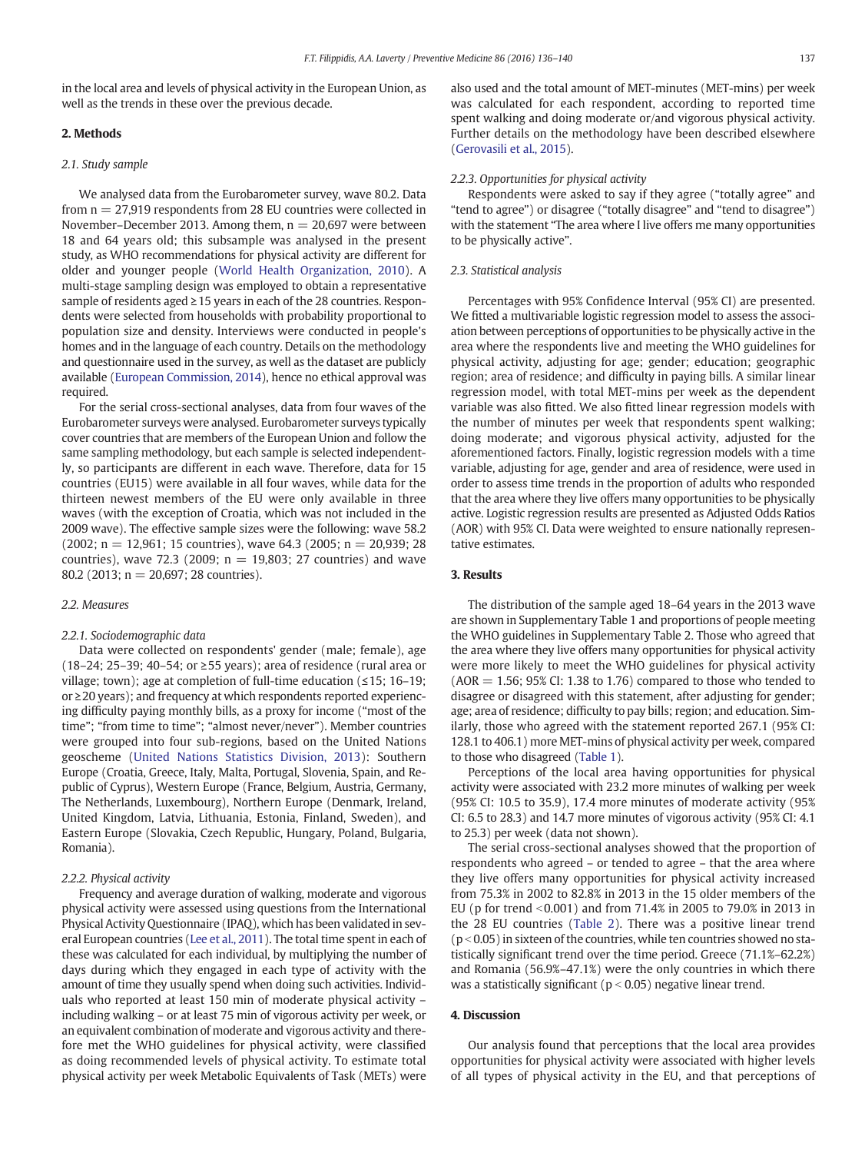in the local area and levels of physical activity in the European Union, as well as the trends in these over the previous decade.

#### 2. Methods

#### 2.1. Study sample

We analysed data from the Eurobarometer survey, wave 80.2. Data from  $n = 27,919$  respondents from 28 EU countries were collected in November–December 2013. Among them,  $n = 20,697$  were between 18 and 64 years old; this subsample was analysed in the present study, as WHO recommendations for physical activity are different for older and younger people ([World Health Organization, 2010\)](#page-4-0). A multi-stage sampling design was employed to obtain a representative sample of residents aged ≥15 years in each of the 28 countries. Respondents were selected from households with probability proportional to population size and density. Interviews were conducted in people's homes and in the language of each country. Details on the methodology and questionnaire used in the survey, as well as the dataset are publicly available [\(European Commission, 2014\)](#page-3-0), hence no ethical approval was required.

For the serial cross-sectional analyses, data from four waves of the Eurobarometer surveys were analysed. Eurobarometer surveys typically cover countries that are members of the European Union and follow the same sampling methodology, but each sample is selected independently, so participants are different in each wave. Therefore, data for 15 countries (EU15) were available in all four waves, while data for the thirteen newest members of the EU were only available in three waves (with the exception of Croatia, which was not included in the 2009 wave). The effective sample sizes were the following: wave 58.2  $(2002; n = 12,961; 15$  countries), wave 64.3  $(2005; n = 20,939; 28)$ countries), wave 72.3 (2009;  $n = 19,803$ ; 27 countries) and wave 80.2 (2013;  $n = 20,697$ ; 28 countries).

#### 2.2. Measures

#### 2.2.1. Sociodemographic data

Data were collected on respondents' gender (male; female), age (18–24; 25–39; 40–54; or ≥55 years); area of residence (rural area or village; town); age at completion of full-time education (≤15; 16–19; or ≥20 years); and frequency at which respondents reported experiencing difficulty paying monthly bills, as a proxy for income ("most of the time"; "from time to time"; "almost never/never"). Member countries were grouped into four sub-regions, based on the United Nations geoscheme [\(United Nations Statistics Division, 2013\)](#page-3-0): Southern Europe (Croatia, Greece, Italy, Malta, Portugal, Slovenia, Spain, and Republic of Cyprus), Western Europe (France, Belgium, Austria, Germany, The Netherlands, Luxembourg), Northern Europe (Denmark, Ireland, United Kingdom, Latvia, Lithuania, Estonia, Finland, Sweden), and Eastern Europe (Slovakia, Czech Republic, Hungary, Poland, Bulgaria, Romania).

#### 2.2.2. Physical activity

Frequency and average duration of walking, moderate and vigorous physical activity were assessed using questions from the International Physical Activity Questionnaire (IPAQ), which has been validated in several European countries [\(Lee et al., 2011\)](#page-3-0). The total time spent in each of these was calculated for each individual, by multiplying the number of days during which they engaged in each type of activity with the amount of time they usually spend when doing such activities. Individuals who reported at least 150 min of moderate physical activity – including walking – or at least 75 min of vigorous activity per week, or an equivalent combination of moderate and vigorous activity and therefore met the WHO guidelines for physical activity, were classified as doing recommended levels of physical activity. To estimate total physical activity per week Metabolic Equivalents of Task (METs) were

also used and the total amount of MET-minutes (MET-mins) per week was calculated for each respondent, according to reported time spent walking and doing moderate or/and vigorous physical activity. Further details on the methodology have been described elsewhere [\(Gerovasili et al., 2015\)](#page-3-0).

#### 2.2.3. Opportunities for physical activity

Respondents were asked to say if they agree ("totally agree" and "tend to agree") or disagree ("totally disagree" and "tend to disagree") with the statement "The area where I live offers me many opportunities to be physically active".

#### 2.3. Statistical analysis

Percentages with 95% Confidence Interval (95% CI) are presented. We fitted a multivariable logistic regression model to assess the association between perceptions of opportunities to be physically active in the area where the respondents live and meeting the WHO guidelines for physical activity, adjusting for age; gender; education; geographic region; area of residence; and difficulty in paying bills. A similar linear regression model, with total MET-mins per week as the dependent variable was also fitted. We also fitted linear regression models with the number of minutes per week that respondents spent walking; doing moderate; and vigorous physical activity, adjusted for the aforementioned factors. Finally, logistic regression models with a time variable, adjusting for age, gender and area of residence, were used in order to assess time trends in the proportion of adults who responded that the area where they live offers many opportunities to be physically active. Logistic regression results are presented as Adjusted Odds Ratios (AOR) with 95% CI. Data were weighted to ensure nationally representative estimates.

#### 3. Results

The distribution of the sample aged 18–64 years in the 2013 wave are shown in Supplementary Table 1 and proportions of people meeting the WHO guidelines in Supplementary Table 2. Those who agreed that the area where they live offers many opportunities for physical activity were more likely to meet the WHO guidelines for physical activity  $(AOR = 1.56; 95\% CI: 1.38$  to 1.76) compared to those who tended to disagree or disagreed with this statement, after adjusting for gender; age; area of residence; difficulty to pay bills; region; and education. Similarly, those who agreed with the statement reported 267.1 (95% CI: 128.1 to 406.1) more MET-mins of physical activity per week, compared to those who disagreed [\(Table 1\)](#page-2-0).

Perceptions of the local area having opportunities for physical activity were associated with 23.2 more minutes of walking per week (95% CI: 10.5 to 35.9), 17.4 more minutes of moderate activity (95% CI: 6.5 to 28.3) and 14.7 more minutes of vigorous activity (95% CI: 4.1 to 25.3) per week (data not shown).

The serial cross-sectional analyses showed that the proportion of respondents who agreed – or tended to agree – that the area where they live offers many opportunities for physical activity increased from 75.3% in 2002 to 82.8% in 2013 in the 15 older members of the EU (p for trend  $0.001$ ) and from 71.4% in 2005 to 79.0% in 2013 in the 28 EU countries [\(Table 2](#page-2-0)). There was a positive linear trend  $(p < 0.05)$  in sixteen of the countries, while ten countries showed no statistically significant trend over the time period. Greece (71.1%–62.2%) and Romania (56.9%–47.1%) were the only countries in which there was a statistically significant ( $p < 0.05$ ) negative linear trend.

#### 4. Discussion

Our analysis found that perceptions that the local area provides opportunities for physical activity were associated with higher levels of all types of physical activity in the EU, and that perceptions of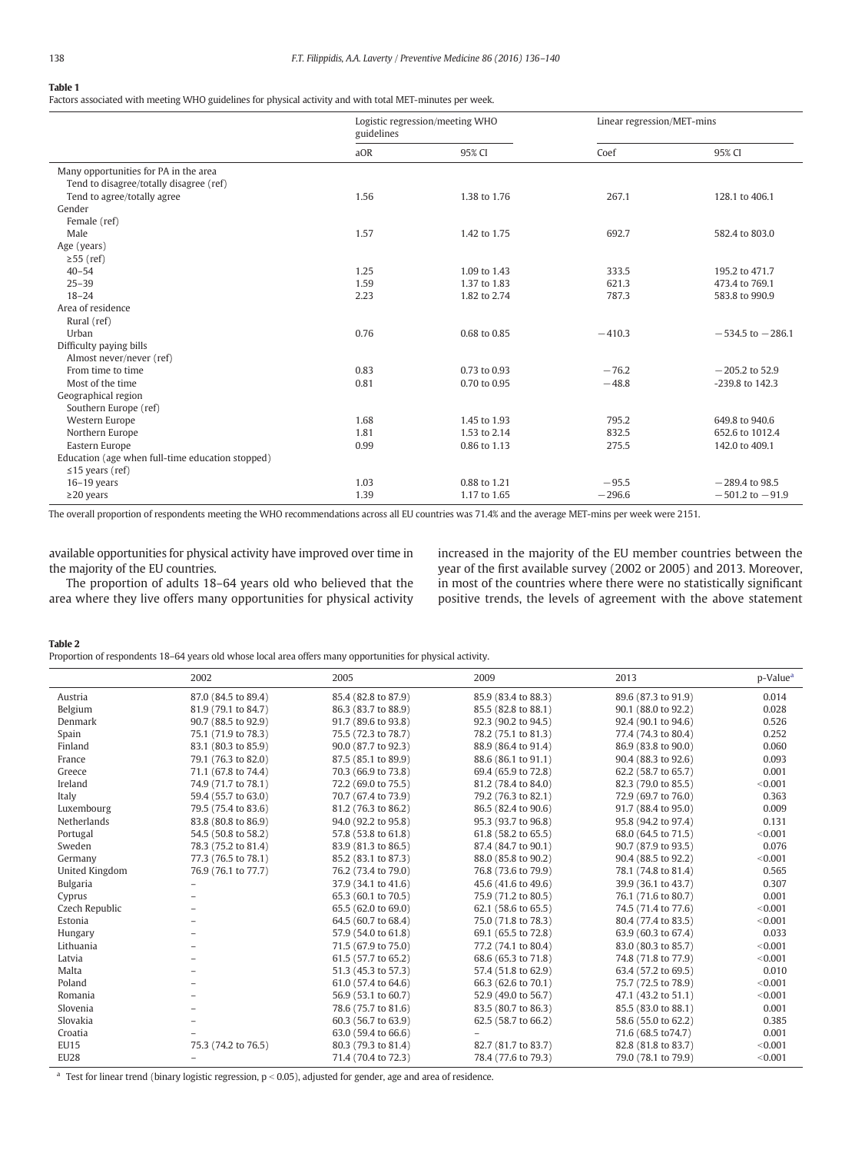#### <span id="page-2-0"></span>Table 1

Factors associated with meeting WHO guidelines for physical activity and with total MET-minutes per week.

|                                                  | Logistic regression/meeting WHO<br>guidelines |              | Linear regression/MET-mins |                      |
|--------------------------------------------------|-----------------------------------------------|--------------|----------------------------|----------------------|
|                                                  | aOR                                           | 95% CI       | Coef                       | 95% CI               |
| Many opportunities for PA in the area            |                                               |              |                            |                      |
| Tend to disagree/totally disagree (ref)          |                                               |              |                            |                      |
| Tend to agree/totally agree                      | 1.56                                          | 1.38 to 1.76 | 267.1                      | 128.1 to 406.1       |
| Gender                                           |                                               |              |                            |                      |
| Female (ref)                                     |                                               |              |                            |                      |
| Male                                             | 1.57                                          | 1.42 to 1.75 | 692.7                      | 582.4 to 803.0       |
| Age (years)                                      |                                               |              |                            |                      |
| $\geq$ 55 (ref)                                  |                                               |              |                            |                      |
| $40 - 54$                                        | 1.25                                          | 1.09 to 1.43 | 333.5                      | 195.2 to 471.7       |
| $25 - 39$                                        | 1.59                                          | 1.37 to 1.83 | 621.3                      | 473.4 to 769.1       |
| $18 - 24$                                        | 2.23                                          | 1.82 to 2.74 | 787.3                      | 583.8 to 990.9       |
| Area of residence                                |                                               |              |                            |                      |
| Rural (ref)                                      |                                               |              |                            |                      |
| Urban                                            | 0.76                                          | 0.68 to 0.85 | $-410.3$                   | $-534.5$ to $-286.1$ |
| Difficulty paying bills                          |                                               |              |                            |                      |
| Almost never/never (ref)                         |                                               |              |                            |                      |
| From time to time                                | 0.83                                          | 0.73 to 0.93 | $-76.2$                    | $-205.2$ to 52.9     |
| Most of the time                                 | 0.81                                          | 0.70 to 0.95 | $-48.8$                    | -239.8 to 142.3      |
| Geographical region                              |                                               |              |                            |                      |
| Southern Europe (ref)                            |                                               |              |                            |                      |
| Western Europe                                   | 1.68                                          | 1.45 to 1.93 | 795.2                      | 649.8 to 940.6       |
| Northern Europe                                  | 1.81                                          | 1.53 to 2.14 | 832.5                      | 652.6 to 1012.4      |
| Eastern Europe                                   | 0.99                                          | 0.86 to 1.13 | 275.5                      | 142.0 to 409.1       |
| Education (age when full-time education stopped) |                                               |              |                            |                      |
| $\leq$ 15 years (ref)                            |                                               |              |                            |                      |
| $16-19$ years                                    | 1.03                                          | 0.88 to 1.21 | $-95.5$                    | $-289.4$ to 98.5     |
| $\geq$ 20 years                                  | 1.39                                          | 1.17 to 1.65 | $-296.6$                   | $-501.2$ to $-91.9$  |

The overall proportion of respondents meeting the WHO recommendations across all EU countries was 71.4% and the average MET-mins per week were 2151.

available opportunities for physical activity have improved over time in the majority of the EU countries.

The proportion of adults 18–64 years old who believed that the area where they live offers many opportunities for physical activity

increased in the majority of the EU member countries between the year of the first available survey (2002 or 2005) and 2013. Moreover, in most of the countries where there were no statistically significant positive trends, the levels of agreement with the above statement

Table 2

Proportion of respondents 18–64 years old whose local area offers many opportunities for physical activity.

|                 | 2002                | 2005                | 2009                | 2013                | p-Value <sup>a</sup> |
|-----------------|---------------------|---------------------|---------------------|---------------------|----------------------|
| Austria         | 87.0 (84.5 to 89.4) | 85.4 (82.8 to 87.9) | 85.9 (83.4 to 88.3) | 89.6 (87.3 to 91.9) | 0.014                |
| Belgium         | 81.9 (79.1 to 84.7) | 86.3 (83.7 to 88.9) | 85.5 (82.8 to 88.1) | 90.1 (88.0 to 92.2) | 0.028                |
| Denmark         | 90.7 (88.5 to 92.9) | 91.7 (89.6 to 93.8) | 92.3 (90.2 to 94.5) | 92.4 (90.1 to 94.6) | 0.526                |
| Spain           | 75.1 (71.9 to 78.3) | 75.5 (72.3 to 78.7) | 78.2 (75.1 to 81.3) | 77.4 (74.3 to 80.4) | 0.252                |
| Finland         | 83.1 (80.3 to 85.9) | 90.0 (87.7 to 92.3) | 88.9 (86.4 to 91.4) | 86.9 (83.8 to 90.0) | 0.060                |
| France          | 79.1 (76.3 to 82.0) | 87.5 (85.1 to 89.9) | 88.6 (86.1 to 91.1) | 90.4 (88.3 to 92.6) | 0.093                |
| Greece          | 71.1 (67.8 to 74.4) | 70.3 (66.9 to 73.8) | 69.4 (65.9 to 72.8) | 62.2 (58.7 to 65.7) | 0.001                |
| Ireland         | 74.9 (71.7 to 78.1) | 72.2 (69.0 to 75.5) | 81.2 (78.4 to 84.0) | 82.3 (79.0 to 85.5) | < 0.001              |
| Italy           | 59.4 (55.7 to 63.0) | 70.7 (67.4 to 73.9) | 79.2 (76.3 to 82.1) | 72.9 (69.7 to 76.0) | 0.363                |
| Luxembourg      | 79.5 (75.4 to 83.6) | 81.2 (76.3 to 86.2) | 86.5 (82.4 to 90.6) | 91.7 (88.4 to 95.0) | 0.009                |
| Netherlands     | 83.8 (80.8 to 86.9) | 94.0 (92.2 to 95.8) | 95.3 (93.7 to 96.8) | 95.8 (94.2 to 97.4) | 0.131                |
| Portugal        | 54.5 (50.8 to 58.2) | 57.8 (53.8 to 61.8) | 61.8 (58.2 to 65.5) | 68.0 (64.5 to 71.5) | < 0.001              |
| Sweden          | 78.3 (75.2 to 81.4) | 83.9 (81.3 to 86.5) | 87.4 (84.7 to 90.1) | 90.7 (87.9 to 93.5) | 0.076                |
| Germany         | 77.3 (76.5 to 78.1) | 85.2 (83.1 to 87.3) | 88.0 (85.8 to 90.2) | 90.4 (88.5 to 92.2) | < 0.001              |
| United Kingdom  | 76.9 (76.1 to 77.7) | 76.2 (73.4 to 79.0) | 76.8 (73.6 to 79.9) | 78.1 (74.8 to 81.4) | 0.565                |
| <b>Bulgaria</b> |                     | 37.9 (34.1 to 41.6) | 45.6 (41.6 to 49.6) | 39.9 (36.1 to 43.7) | 0.307                |
| Cyprus          |                     | 65.3 (60.1 to 70.5) | 75.9 (71.2 to 80.5) | 76.1 (71.6 to 80.7) | 0.001                |
| Czech Republic  |                     | 65.5 (62.0 to 69.0) | 62.1 (58.6 to 65.5) | 74.5 (71.4 to 77.6) | < 0.001              |
| Estonia         |                     | 64.5 (60.7 to 68.4) | 75.0 (71.8 to 78.3) | 80.4 (77.4 to 83.5) | < 0.001              |
| Hungary         |                     | 57.9 (54.0 to 61.8) | 69.1 (65.5 to 72.8) | 63.9 (60.3 to 67.4) | 0.033                |
| Lithuania       |                     | 71.5 (67.9 to 75.0) | 77.2 (74.1 to 80.4) | 83.0 (80.3 to 85.7) | < 0.001              |
| Latvia          |                     | 61.5 (57.7 to 65.2) | 68.6 (65.3 to 71.8) | 74.8 (71.8 to 77.9) | < 0.001              |
| Malta           |                     | 51.3 (45.3 to 57.3) | 57.4 (51.8 to 62.9) | 63.4 (57.2 to 69.5) | 0.010                |
| Poland          |                     | 61.0 (57.4 to 64.6) | 66.3 (62.6 to 70.1) | 75.7 (72.5 to 78.9) | < 0.001              |
| Romania         |                     | 56.9 (53.1 to 60.7) | 52.9 (49.0 to 56.7) | 47.1 (43.2 to 51.1) | < 0.001              |
| Slovenia        |                     | 78.6 (75.7 to 81.6) | 83.5 (80.7 to 86.3) | 85.5 (83.0 to 88.1) | 0.001                |
| Slovakia        |                     | 60.3 (56.7 to 63.9) | 62.5 (58.7 to 66.2) | 58.6 (55.0 to 62.2) | 0.385                |
| Croatia         |                     | 63.0 (59.4 to 66.6) |                     | 71.6 (68.5 to 74.7) | 0.001                |
| <b>EU15</b>     | 75.3 (74.2 to 76.5) | 80.3 (79.3 to 81.4) | 82.7 (81.7 to 83.7) | 82.8 (81.8 to 83.7) | < 0.001              |
| <b>EU28</b>     |                     | 71.4 (70.4 to 72.3) | 78.4 (77.6 to 79.3) | 79.0 (78.1 to 79.9) | < 0.001              |

<sup>a</sup> Test for linear trend (binary logistic regression,  $p < 0.05$ ), adjusted for gender, age and area of residence.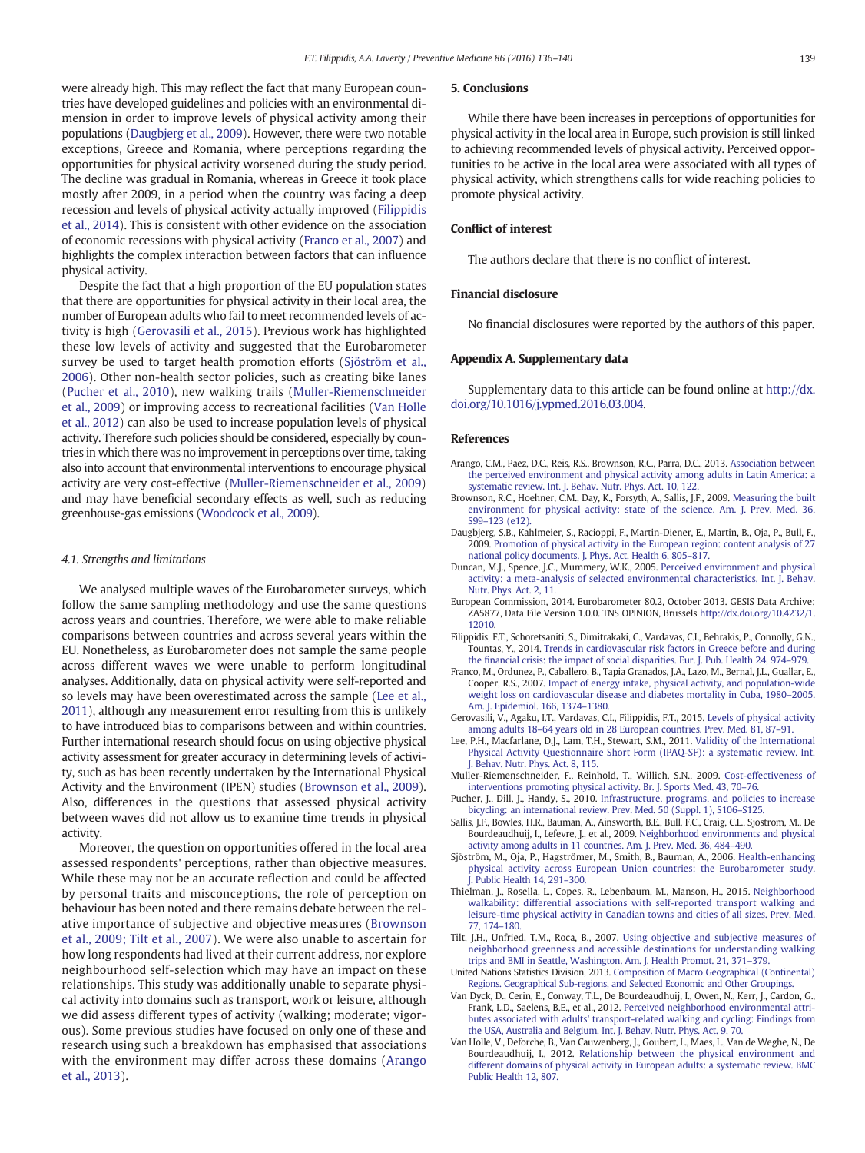<span id="page-3-0"></span>were already high. This may reflect the fact that many European countries have developed guidelines and policies with an environmental dimension in order to improve levels of physical activity among their populations (Daugbjerg et al., 2009). However, there were two notable exceptions, Greece and Romania, where perceptions regarding the opportunities for physical activity worsened during the study period. The decline was gradual in Romania, whereas in Greece it took place mostly after 2009, in a period when the country was facing a deep recession and levels of physical activity actually improved (Filippidis et al., 2014). This is consistent with other evidence on the association of economic recessions with physical activity (Franco et al., 2007) and highlights the complex interaction between factors that can influence physical activity.

Despite the fact that a high proportion of the EU population states that there are opportunities for physical activity in their local area, the number of European adults who fail to meet recommended levels of activity is high (Gerovasili et al., 2015). Previous work has highlighted these low levels of activity and suggested that the Eurobarometer survey be used to target health promotion efforts (Sjöström et al., 2006). Other non-health sector policies, such as creating bike lanes (Pucher et al., 2010), new walking trails (Muller-Riemenschneider et al., 2009) or improving access to recreational facilities (Van Holle et al., 2012) can also be used to increase population levels of physical activity. Therefore such policies should be considered, especially by countries in which there was no improvement in perceptions over time, taking also into account that environmental interventions to encourage physical activity are very cost-effective (Muller-Riemenschneider et al., 2009) and may have beneficial secondary effects as well, such as reducing greenhouse-gas emissions ([Woodcock et al., 2009](#page-4-0)).

#### 4.1. Strengths and limitations

We analysed multiple waves of the Eurobarometer surveys, which follow the same sampling methodology and use the same questions across years and countries. Therefore, we were able to make reliable comparisons between countries and across several years within the EU. Nonetheless, as Eurobarometer does not sample the same people across different waves we were unable to perform longitudinal analyses. Additionally, data on physical activity were self-reported and so levels may have been overestimated across the sample (Lee et al., 2011), although any measurement error resulting from this is unlikely to have introduced bias to comparisons between and within countries. Further international research should focus on using objective physical activity assessment for greater accuracy in determining levels of activity, such as has been recently undertaken by the International Physical Activity and the Environment (IPEN) studies (Brownson et al., 2009). Also, differences in the questions that assessed physical activity between waves did not allow us to examine time trends in physical activity.

Moreover, the question on opportunities offered in the local area assessed respondents' perceptions, rather than objective measures. While these may not be an accurate reflection and could be affected by personal traits and misconceptions, the role of perception on behaviour has been noted and there remains debate between the relative importance of subjective and objective measures (Brownson et al., 2009; Tilt et al., 2007). We were also unable to ascertain for how long respondents had lived at their current address, nor explore neighbourhood self-selection which may have an impact on these relationships. This study was additionally unable to separate physical activity into domains such as transport, work or leisure, although we did assess different types of activity (walking; moderate; vigorous). Some previous studies have focused on only one of these and research using such a breakdown has emphasised that associations with the environment may differ across these domains (Arango et al., 2013).

#### 5. Conclusions

While there have been increases in perceptions of opportunities for physical activity in the local area in Europe, such provision is still linked to achieving recommended levels of physical activity. Perceived opportunities to be active in the local area were associated with all types of physical activity, which strengthens calls for wide reaching policies to promote physical activity.

#### Conflict of interest

The authors declare that there is no conflict of interest.

#### Financial disclosure

No financial disclosures were reported by the authors of this paper.

#### Appendix A. Supplementary data

Supplementary data to this article can be found online at [http://dx.](doi:10.1016/j.ypmed.2016.03.004) [doi.org/10.1016/j.ypmed.2016.03.004](doi:10.1016/j.ypmed.2016.03.004).

#### References

- Arango, C.M., Paez, D.C., Reis, R.S., Brownson, R.C., Parra, D.C., 2013. [Association between](http://refhub.elsevier.com/S0091-7435(16)30026-3/rf0005) [the perceived environment and physical activity among adults in Latin America: a](http://refhub.elsevier.com/S0091-7435(16)30026-3/rf0005) [systematic review. Int. J. Behav. Nutr. Phys. Act. 10, 122](http://refhub.elsevier.com/S0091-7435(16)30026-3/rf0005).
- Brownson, R.C., Hoehner, C.M., Day, K., Forsyth, A., Sallis, J.F., 2009. [Measuring the built](http://refhub.elsevier.com/S0091-7435(16)30026-3/rf0010) [environment for physical activity: state of the science. Am. J. Prev. Med. 36,](http://refhub.elsevier.com/S0091-7435(16)30026-3/rf0010) S99-123 (e12)
- Daugbjerg, S.B., Kahlmeier, S., Racioppi, F., Martin-Diener, E., Martin, B., Oja, P., Bull, F., 2009. [Promotion of physical activity in the European region: content analysis of 27](http://refhub.elsevier.com/S0091-7435(16)30026-3/rf0015) [national policy documents. J. Phys. Act. Health 6, 805](http://refhub.elsevier.com/S0091-7435(16)30026-3/rf0015)–817.
- Duncan, M.J., Spence, J.C., Mummery, W.K., 2005. [Perceived environment and physical](http://refhub.elsevier.com/S0091-7435(16)30026-3/rf0020) [activity: a meta-analysis of selected environmental characteristics. Int. J. Behav.](http://refhub.elsevier.com/S0091-7435(16)30026-3/rf0020) [Nutr. Phys. Act. 2, 11.](http://refhub.elsevier.com/S0091-7435(16)30026-3/rf0020)
- European Commission, 2014. Eurobarometer 80.2, October 2013. GESIS Data Archive: ZA5877, Data File Version 1.0.0. TNS OPINION, Brussels http://dx.doi.org[/10.4232/1.](http://dx.doi.org/10.4232/1.12010) [12010](http://dx.doi.org/10.4232/1.12010).
- Filippidis, F.T., Schoretsaniti, S., Dimitrakaki, C., Vardavas, C.I., Behrakis, P., Connolly, G.N., Tountas, Y., 2014. [Trends in cardiovascular risk factors in Greece before and during](http://refhub.elsevier.com/S0091-7435(16)30026-3/rf0030) the fi[nancial crisis: the impact of social disparities. Eur. J. Pub. Health 24, 974](http://refhub.elsevier.com/S0091-7435(16)30026-3/rf0030)–979.
- Franco, M., Ordunez, P., Caballero, B., Tapia Granados, J.A., Lazo, M., Bernal, J.L., Guallar, E., Cooper, R.S., 2007. [Impact of energy intake, physical activity, and population-wide](http://refhub.elsevier.com/S0091-7435(16)30026-3/rf0035) [weight loss on cardiovascular disease and diabetes mortality in Cuba, 1980](http://refhub.elsevier.com/S0091-7435(16)30026-3/rf0035)–2005. [Am. J. Epidemiol. 166, 1374](http://refhub.elsevier.com/S0091-7435(16)30026-3/rf0035)–1380.
- Gerovasili, V., Agaku, I.T., Vardavas, C.I., Filippidis, F.T., 2015. [Levels of physical activity](http://refhub.elsevier.com/S0091-7435(16)30026-3/rf0040) among adults 18–[64 years old in 28 European countries. Prev. Med. 81, 87](http://refhub.elsevier.com/S0091-7435(16)30026-3/rf0040)–91.
- Lee, P.H., Macfarlane, D.J., Lam, T.H., Stewart, S.M., 2011. [Validity of the International](http://refhub.elsevier.com/S0091-7435(16)30026-3/rf0045) [Physical Activity Questionnaire Short Form \(IPAQ-SF\): a systematic review. Int.](http://refhub.elsevier.com/S0091-7435(16)30026-3/rf0045) [J. Behav. Nutr. Phys. Act. 8, 115.](http://refhub.elsevier.com/S0091-7435(16)30026-3/rf0045)
- Muller-Riemenschneider, F., Reinhold, T., Willich, S.N., 2009. [Cost-effectiveness of](http://refhub.elsevier.com/S0091-7435(16)30026-3/rf0050) [interventions promoting physical activity. Br. J. Sports Med. 43, 70](http://refhub.elsevier.com/S0091-7435(16)30026-3/rf0050)–76.
- Pucher, J., Dill, J., Handy, S., 2010. [Infrastructure, programs, and policies to increase](http://refhub.elsevier.com/S0091-7435(16)30026-3/rf0055) [bicycling: an international review. Prev. Med. 50 \(Suppl. 1\), S106](http://refhub.elsevier.com/S0091-7435(16)30026-3/rf0055)–S125.
- Sallis, J.F., Bowles, H.R., Bauman, A., Ainsworth, B.E., Bull, F.C., Craig, C.L., Sjostrom, M., De Bourdeaudhuij, I., Lefevre, J., et al., 2009. [Neighborhood environments and physical](http://refhub.elsevier.com/S0091-7435(16)30026-3/rf0060) [activity among adults in 11 countries. Am. J. Prev. Med. 36, 484](http://refhub.elsevier.com/S0091-7435(16)30026-3/rf0060)–490.
- Sjöström, M., Oja, P., Hagströmer, M., Smith, B., Bauman, A., 2006. [Health-enhancing](http://refhub.elsevier.com/S0091-7435(16)30026-3/rf0065) [physical activity across European Union countries: the Eurobarometer study.](http://refhub.elsevier.com/S0091-7435(16)30026-3/rf0065) [J. Public Health 14, 291](http://refhub.elsevier.com/S0091-7435(16)30026-3/rf0065)–300.
- Thielman, J., Rosella, L., Copes, R., Lebenbaum, M., Manson, H., 2015. [Neighborhood](http://refhub.elsevier.com/S0091-7435(16)30026-3/rf0070) [walkability: differential associations with self-reported transport walking and](http://refhub.elsevier.com/S0091-7435(16)30026-3/rf0070) [leisure-time physical activity in Canadian towns and cities of all sizes. Prev. Med.](http://refhub.elsevier.com/S0091-7435(16)30026-3/rf0070) [77, 174](http://refhub.elsevier.com/S0091-7435(16)30026-3/rf0070)–180.
- Tilt, J.H., Unfried, T.M., Roca, B., 2007. [Using objective and subjective measures of](http://refhub.elsevier.com/S0091-7435(16)30026-3/rf0075) [neighborhood greenness and accessible destinations for understanding walking](http://refhub.elsevier.com/S0091-7435(16)30026-3/rf0075) [trips and BMI in Seattle, Washington. Am. J. Health Promot. 21, 371](http://refhub.elsevier.com/S0091-7435(16)30026-3/rf0075)–379.
- United Nations Statistics Division, 2013. [Composition of Macro Geographical \(Continental\)](http://refhub.elsevier.com/S0091-7435(16)30026-3/rf8520) [Regions. Geographical Sub-regions, and Selected Economic and Other Groupings](http://refhub.elsevier.com/S0091-7435(16)30026-3/rf8520).
- Van Dyck, D., Cerin, E., Conway, T.L., De Bourdeaudhuij, I., Owen, N., Kerr, J., Cardon, G., Frank, L.D., Saelens, B.E., et al., 2012. [Perceived neighborhood environmental attri](http://refhub.elsevier.com/S0091-7435(16)30026-3/rf0080)[butes associated with adults' transport-related walking and cycling: Findings from](http://refhub.elsevier.com/S0091-7435(16)30026-3/rf0080) [the USA, Australia and Belgium. Int. J. Behav. Nutr. Phys. Act. 9, 70](http://refhub.elsevier.com/S0091-7435(16)30026-3/rf0080).
- Van Holle, V., Deforche, B., Van Cauwenberg, J., Goubert, L., Maes, L., Van de Weghe, N., De Bourdeaudhuij, I., 2012. [Relationship between the physical environment and](http://refhub.elsevier.com/S0091-7435(16)30026-3/rf0085) [different domains of physical activity in European adults: a systematic review. BMC](http://refhub.elsevier.com/S0091-7435(16)30026-3/rf0085) [Public Health 12, 807](http://refhub.elsevier.com/S0091-7435(16)30026-3/rf0085).